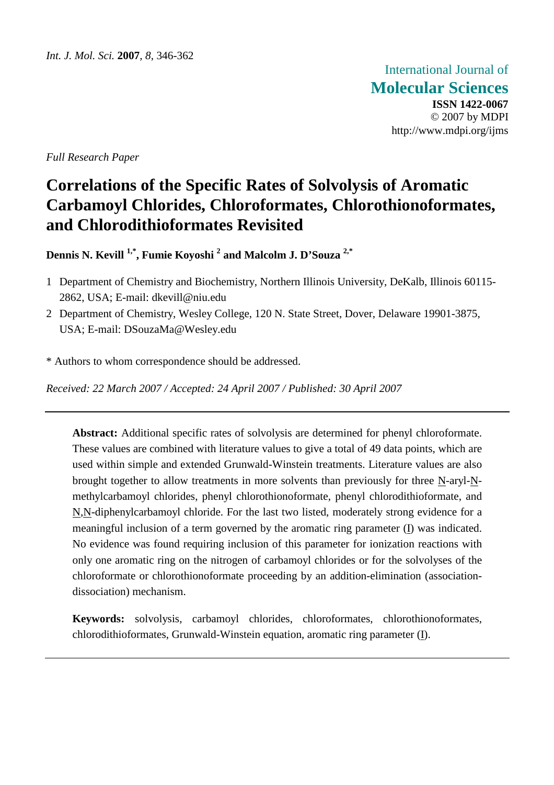International Journal of **Molecular Sciences ISSN 1422-0067**  © 2007 by MDPI http://www.mdpi.org/ijms

*Full Research Paper* 

# **Correlations of the Specific Rates of Solvolysis of Aromatic Carbamoyl Chlorides, Chloroformates, Chlorothionoformates, and Chlorodithioformates Revisited**

**Dennis N. Kevill 1,\*, Fumie Koyoshi <sup>2</sup> and Malcolm J. D'Souza 2,\***

- 1 Department of Chemistry and Biochemistry, Northern Illinois University, DeKalb, Illinois 60115- 2862, USA; E-mail: dkevill@niu.edu
- 2 Department of Chemistry, Wesley College, 120 N. State Street, Dover, Delaware 19901-3875, USA; E-mail: DSouzaMa@Wesley.edu
- \* Authors to whom correspondence should be addressed.

*Received: 22 March 2007 / Accepted: 24 April 2007 / Published: 30 April 2007* 

**Abstract:** Additional specific rates of solvolysis are determined for phenyl chloroformate. These values are combined with literature values to give a total of 49 data points, which are used within simple and extended Grunwald-Winstein treatments. Literature values are also brought together to allow treatments in more solvents than previously for three N-aryl-Nmethylcarbamoyl chlorides, phenyl chlorothionoformate, phenyl chlorodithioformate, and N,N-diphenylcarbamoyl chloride. For the last two listed, moderately strong evidence for a meaningful inclusion of a term governed by the aromatic ring parameter  $(I)$  was indicated. No evidence was found requiring inclusion of this parameter for ionization reactions with only one aromatic ring on the nitrogen of carbamoyl chlorides or for the solvolyses of the chloroformate or chlorothionoformate proceeding by an addition-elimination (associationdissociation) mechanism.

**Keywords:** solvolysis, carbamoyl chlorides, chloroformates, chlorothionoformates, chlorodithioformates, Grunwald-Winstein equation, aromatic ring parameter (I).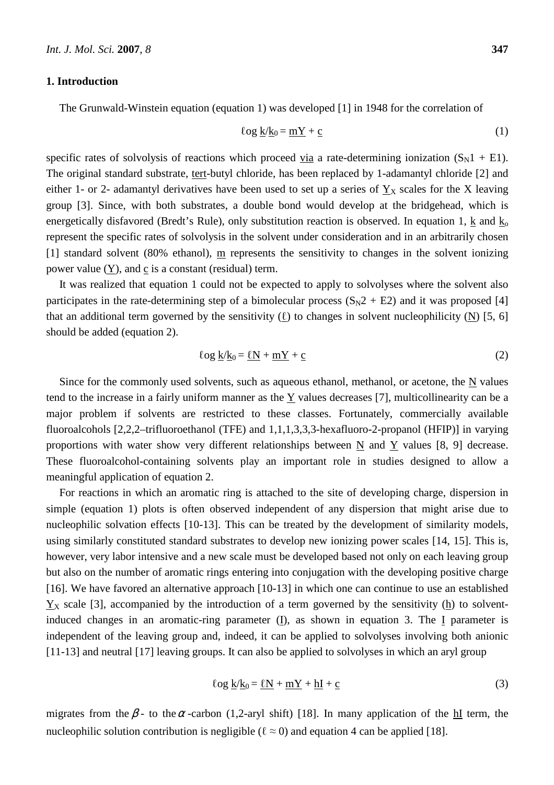## **1. Introduction**

The Grunwald-Winstein equation (equation 1) was developed [1] in 1948 for the correlation of

$$
\log \underline{k}/\underline{k}_0 = \underline{m}\underline{Y} + \underline{c} \tag{1}
$$

specific rates of solvolysis of reactions which proceed via a rate-determining ionization  $(S_N1 + E1)$ . The original standard substrate, tert-butyl chloride, has been replaced by 1-adamantyl chloride [2] and either 1- or 2- adamantyl derivatives have been used to set up a series of  $Y<sub>X</sub>$  scales for the X leaving group [3]. Since, with both substrates, a double bond would develop at the bridgehead, which is energetically disfavored (Bredt's Rule), only substitution reaction is observed. In equation 1, k and  $k_0$ represent the specific rates of solvolysis in the solvent under consideration and in an arbitrarily chosen [1] standard solvent (80% ethanol),  $\overline{m}$  represents the sensitivity to changes in the solvent ionizing power value  $(Y)$ , and  $\overline{c}$  is a constant (residual) term.

It was realized that equation 1 could not be expected to apply to solvolyses where the solvent also participates in the rate-determining step of a bimolecular process  $(S_N2 + E2)$  and it was proposed [4] that an additional term governed by the sensitivity  $(\ell)$  to changes in solvent nucleophilicity (N) [5, 6] should be added (equation 2).

$$
\log \underline{k}/\underline{k}_0 = \underline{\ell}N + \underline{m}Y + \underline{c}
$$
 (2)

Since for the commonly used solvents, such as aqueous ethanol, methanol, or acetone, the  $N$  values tend to the increase in a fairly uniform manner as the Y values decreases [7], multicollinearity can be a major problem if solvents are restricted to these classes. Fortunately, commercially available fluoroalcohols [2,2,2–trifluoroethanol (TFE) and 1,1,1,3,3,3-hexafluoro-2-propanol (HFIP)] in varying proportions with water show very different relationships between N and Y values [8, 9] decrease. These fluoroalcohol-containing solvents play an important role in studies designed to allow a meaningful application of equation 2.

For reactions in which an aromatic ring is attached to the site of developing charge, dispersion in simple (equation 1) plots is often observed independent of any dispersion that might arise due to nucleophilic solvation effects [10-13]. This can be treated by the development of similarity models, using similarly constituted standard substrates to develop new ionizing power scales [14, 15]. This is, however, very labor intensive and a new scale must be developed based not only on each leaving group but also on the number of aromatic rings entering into conjugation with the developing positive charge [16]. We have favored an alternative approach [10-13] in which one can continue to use an established  $Y<sub>X</sub>$  scale [3], accompanied by the introduction of a term governed by the sensitivity (h) to solventinduced changes in an aromatic-ring parameter (I), as shown in equation 3. The I parameter is independent of the leaving group and, indeed, it can be applied to solvolyses involving both anionic [11-13] and neutral [17] leaving groups. It can also be applied to solvolyses in which an aryl group

$$
\log \underline{k}/\underline{k}_0 = \underline{\ell}N + \underline{m}Y + \underline{h}I + \underline{c}
$$
\n(3)

migrates from the  $\beta$ - to the  $\alpha$ -carbon (1,2-aryl shift) [18]. In many application of the hI term, the nucleophilic solution contribution is negligible ( $\ell \approx 0$ ) and equation 4 can be applied [18].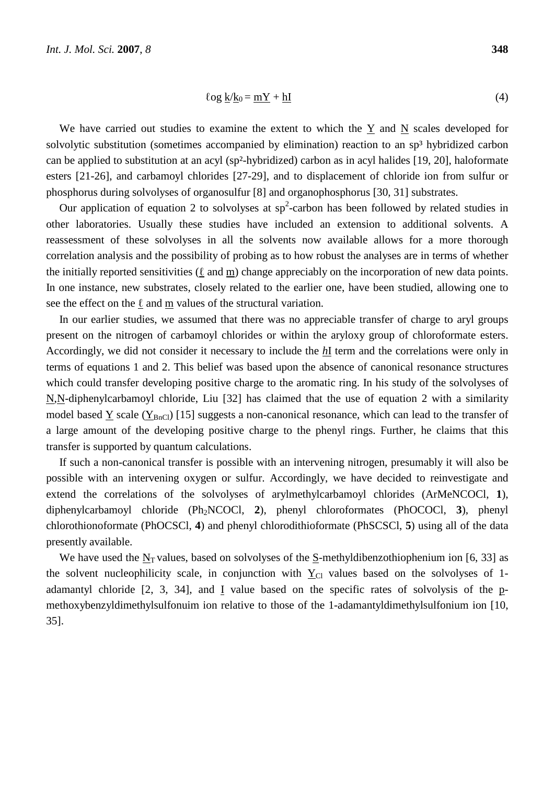$$
\log \underline{k}/\underline{k}_0 = \underline{m}\underline{Y} + \underline{h}\underline{I}
$$
 (4)

We have carried out studies to examine the extent to which the Y and N scales developed for solvolytic substitution (sometimes accompanied by elimination) reaction to an sp<sup>3</sup> hybridized carbon can be applied to substitution at an acyl (sp²-hybridized) carbon as in acyl halides [19, 20], haloformate esters [21-26], and carbamoyl chlorides [27-29], and to displacement of chloride ion from sulfur or phosphorus during solvolyses of organosulfur [8] and organophosphorus [30, 31] substrates.

Our application of equation 2 to solvolyses at  $sp^2$ -carbon has been followed by related studies in other laboratories. Usually these studies have included an extension to additional solvents. A reassessment of these solvolyses in all the solvents now available allows for a more thorough correlation analysis and the possibility of probing as to how robust the analyses are in terms of whether the initially reported sensitivities ( $\ell$  and m) change appreciably on the incorporation of new data points. In one instance, new substrates, closely related to the earlier one, have been studied, allowing one to see the effect on the  $\ell$  and m values of the structural variation.

In our earlier studies, we assumed that there was no appreciable transfer of charge to aryl groups present on the nitrogen of carbamoyl chlorides or within the aryloxy group of chloroformate esters. Accordingly, we did not consider it necessary to include the *h*I term and the correlations were only in terms of equations 1 and 2. This belief was based upon the absence of canonical resonance structures which could transfer developing positive charge to the aromatic ring. In his study of the solvolyses of N,N-diphenylcarbamoyl chloride, Liu [32] has claimed that the use of equation 2 with a similarity model based  $Y$  scale ( $Y_{BnCl}$ ) [15] suggests a non-canonical resonance, which can lead to the transfer of a large amount of the developing positive charge to the phenyl rings. Further, he claims that this transfer is supported by quantum calculations.

If such a non-canonical transfer is possible with an intervening nitrogen, presumably it will also be possible with an intervening oxygen or sulfur. Accordingly, we have decided to reinvestigate and extend the correlations of the solvolyses of arylmethylcarbamoyl chlorides (ArMeNCOCl, **1**), diphenylcarbamoyl chloride (Ph2NCOCl, **2**), phenyl chloroformates (PhOCOCl, **3**), phenyl chlorothionoformate (PhOCSCl, **4**) and phenyl chlorodithioformate (PhSCSCl, **5**) using all of the data presently available.

We have used the  $N_T$  values, based on solvolyses of the  $S$ -methyldibenzothiophenium ion [6, 33] as the solvent nucleophilicity scale, in conjunction with  $Y_{\text{Cl}}$  values based on the solvolyses of 1adamantyl chloride [2, 3, 34], and I value based on the specific rates of solvolysis of the pmethoxybenzyldimethylsulfonuim ion relative to those of the 1-adamantyldimethylsulfonium ion [10, 35].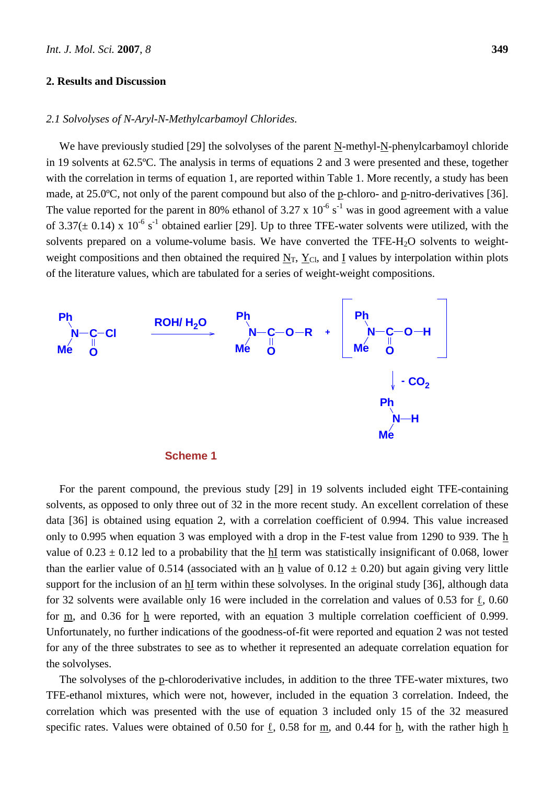#### **2. Results and Discussion**

#### *2.1 Solvolyses of N-Aryl-N-Methylcarbamoyl Chlorides.*

We have previously studied [29] the solvolyses of the parent N-methyl-N-phenylcarbamoyl chloride in 19 solvents at 62.5ºC. The analysis in terms of equations 2 and 3 were presented and these, together with the correlation in terms of equation 1, are reported within Table 1. More recently, a study has been made, at 25.0°C, not only of the parent compound but also of the p-chloro- and p-nitro-derivatives [36]. The value reported for the parent in 80% ethanol of 3.27 x  $10^{-6}$  s<sup>-1</sup> was in good agreement with a value of 3.37( $\pm$  0.14) x 10<sup>-6</sup> s<sup>-1</sup> obtained earlier [29]. Up to three TFE-water solvents were utilized, with the solvents prepared on a volume-volume basis. We have converted the TFE-H<sub>2</sub>O solvents to weightweight compositions and then obtained the required  $N_T$ ,  $Y_{\text{Cl}}$ , and I values by interpolation within plots of the literature values, which are tabulated for a series of weight-weight compositions.





For the parent compound, the previous study [29] in 19 solvents included eight TFE-containing solvents, as opposed to only three out of 32 in the more recent study. An excellent correlation of these data [36] is obtained using equation 2, with a correlation coefficient of 0.994. This value increased only to 0.995 when equation 3 was employed with a drop in the F-test value from 1290 to 939. The h value of  $0.23 \pm 0.12$  led to a probability that the hI term was statistically insignificant of 0.068, lower than the earlier value of 0.514 (associated with an h value of  $0.12 \pm 0.20$ ) but again giving very little support for the inclusion of an hI term within these solvolyses. In the original study [36], although data for 32 solvents were available only 16 were included in the correlation and values of 0.53 for ℓ, 0.60 for  $\underline{m}$ , and 0.36 for  $\underline{h}$  were reported, with an equation 3 multiple correlation coefficient of 0.999. Unfortunately, no further indications of the goodness-of-fit were reported and equation 2 was not tested for any of the three substrates to see as to whether it represented an adequate correlation equation for the solvolyses.

The solvolyses of the p-chloroderivative includes, in addition to the three TFE-water mixtures, two TFE-ethanol mixtures, which were not, however, included in the equation 3 correlation. Indeed, the correlation which was presented with the use of equation 3 included only 15 of the 32 measured specific rates. Values were obtained of 0.50 for  $\underline{\ell}$ , 0.58 for  $\underline{m}$ , and 0.44 for  $\underline{h}$ , with the rather high  $\underline{h}$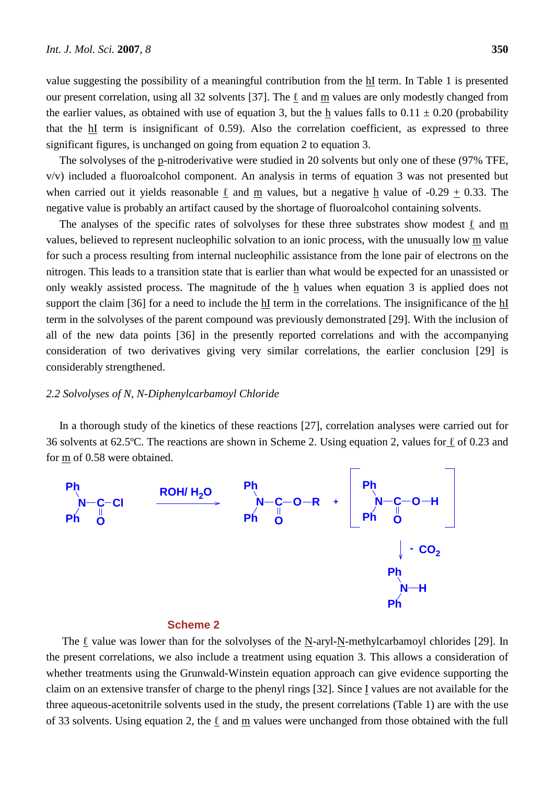value suggesting the possibility of a meaningful contribution from the hI term. In Table 1 is presented our present correlation, using all 32 solvents [37]. The  $\ell$  and m values are only modestly changed from the earlier values, as obtained with use of equation 3, but the h values falls to  $0.11 \pm 0.20$  (probability that the hI term is insignificant of 0.59). Also the correlation coefficient, as expressed to three significant figures, is unchanged on going from equation 2 to equation 3.

The solvolyses of the p-nitroderivative were studied in 20 solvents but only one of these (97% TFE, v/v) included a fluoroalcohol component. An analysis in terms of equation 3 was not presented but when carried out it yields reasonable  $\ell$  and m values, but a negative h value of -0.29 + 0.33. The negative value is probably an artifact caused by the shortage of fluoroalcohol containing solvents.

The analyses of the specific rates of solvolyses for these three substrates show modest  $\ell$  and m values, believed to represent nucleophilic solvation to an ionic process, with the unusually low m value for such a process resulting from internal nucleophilic assistance from the lone pair of electrons on the nitrogen. This leads to a transition state that is earlier than what would be expected for an unassisted or only weakly assisted process. The magnitude of the h values when equation 3 is applied does not support the claim [36] for a need to include the hI term in the correlations. The insignificance of the hI term in the solvolyses of the parent compound was previously demonstrated [29]. With the inclusion of all of the new data points [36] in the presently reported correlations and with the accompanying consideration of two derivatives giving very similar correlations, the earlier conclusion [29] is considerably strengthened.

## *2.2 Solvolyses of N, N-Diphenylcarbamoyl Chloride*

In a thorough study of the kinetics of these reactions [27], correlation analyses were carried out for 36 solvents at 62.5ºC. The reactions are shown in Scheme 2. Using equation 2, values for ℓ of 0.23 and for m of 0.58 were obtained.



#### **Scheme 2**

The  $\ell$  value was lower than for the solvolyses of the N-aryl-N-methylcarbamoyl chlorides [29]. In the present correlations, we also include a treatment using equation 3. This allows a consideration of whether treatments using the Grunwald-Winstein equation approach can give evidence supporting the claim on an extensive transfer of charge to the phenyl rings [32]. Since I values are not available for the three aqueous-acetonitrile solvents used in the study, the present correlations (Table 1) are with the use of 33 solvents. Using equation 2, the  $\ell$  and m values were unchanged from those obtained with the full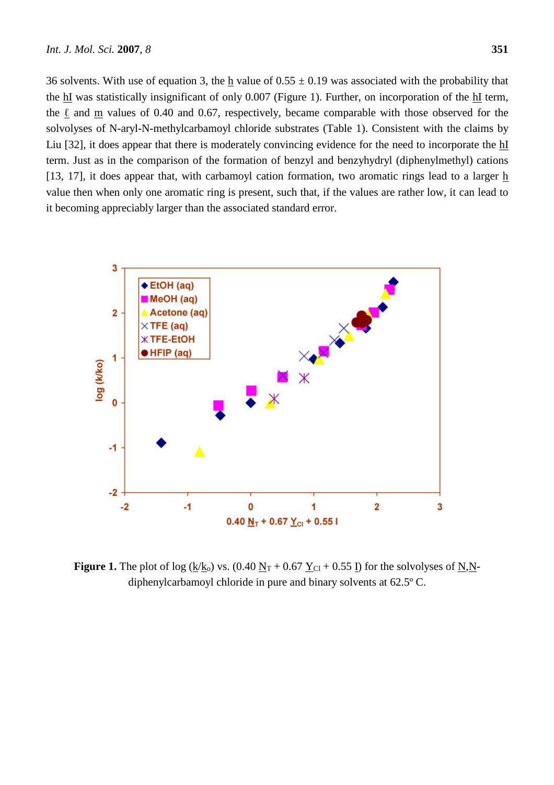36 solvents. With use of equation 3, the h value of  $0.55 \pm 0.19$  was associated with the probability that the hI was statistically insignificant of only 0.007 (Figure 1). Further, on incorporation of the hI term, the  $\ell$  and m values of 0.40 and 0.67, respectively, became comparable with those observed for the solvolyses of N-aryl-N-methylcarbamoyl chloride substrates (Table 1). Consistent with the claims by Liu [32], it does appear that there is moderately convincing evidence for the need to incorporate the hI term. Just as in the comparison of the formation of benzyl and benzyhydryl (diphenylmethyl) cations [13, 17], it does appear that, with carbamoyl cation formation, two aromatic rings lead to a larger  $h$ value then when only one aromatic ring is present, such that, if the values are rather low, it can lead to it becoming appreciably larger than the associated standard error.



**Figure 1.** The plot of log ( $k/k_0$ ) vs. (0.40  $N_T$  + 0.67  $Y_{Cl}$  + 0.55 I) for the solvolyses of N,Ndiphenylcarbamoyl chloride in pure and binary solvents at 62.5º C.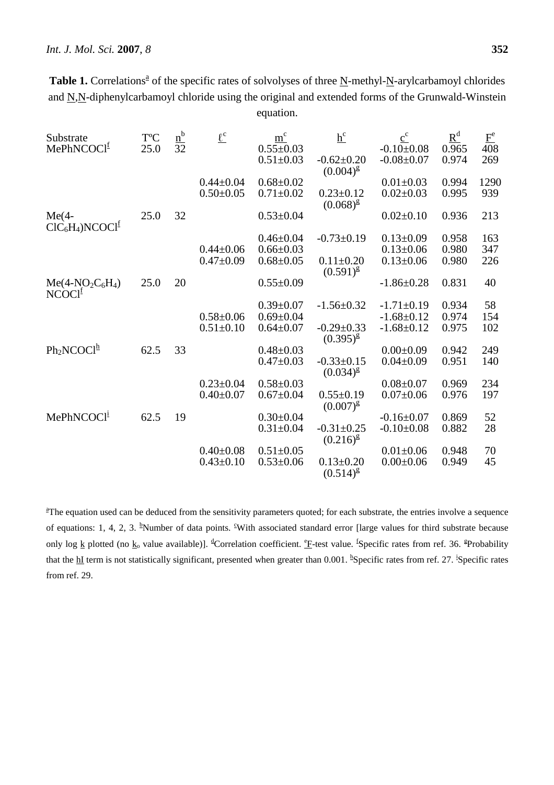| Table 1. Correlations <sup>a</sup> of the specific rates of solvolyses of three N-methyl-N-arylcarbamoyl chlorides |
|--------------------------------------------------------------------------------------------------------------------|
| and N,N-diphenylcarbamoyl chloride using the original and extended forms of the Grunwald-Winstein                  |
| equation.                                                                                                          |

| Substrate                             | <b>T°C</b> | $rac{n^b}{32}$ | $\underline{\ell^c}$ | $m^{c}$         | $\underline{h}^c$                 | $\mathbf{c}^\mathrm{c}$ | $R^d$ | $\underline{F}^e$ |
|---------------------------------------|------------|----------------|----------------------|-----------------|-----------------------------------|-------------------------|-------|-------------------|
| MePhNCOCl <sup>f</sup>                | 25.0       |                |                      | $0.55 \pm 0.03$ |                                   | $-0.10 \pm 0.08$        | 0.965 | $\overline{408}$  |
|                                       |            |                |                      | $0.51 \pm 0.03$ | $-0.62 \pm 0.20$<br>$(0.004)^{g}$ | $-0.08 + 0.07$          | 0.974 | 269               |
|                                       |            |                | $0.44 \pm 0.04$      | $0.68 \pm 0.02$ |                                   | $0.01 \pm 0.03$         | 0.994 | 1290              |
|                                       |            |                | $0.50 \pm 0.05$      | $0.71 \pm 0.02$ | $0.23 \pm 0.12$<br>$(0.068)^{g}$  | $0.02 \pm 0.03$         | 0.995 | 939               |
| $Me(4-$<br>$ClC_6H_4)NCOCl^f$         | 25.0       | 32             |                      | $0.53 \pm 0.04$ |                                   | $0.02 \pm 0.10$         | 0.936 | 213               |
|                                       |            |                |                      | $0.46 \pm 0.04$ | $-0.73 \pm 0.19$                  | $0.13 \pm 0.09$         | 0.958 | 163               |
|                                       |            |                | $0.44 \pm 0.06$      | $0.66 \pm 0.03$ |                                   | $0.13 \pm 0.06$         | 0.980 | 347               |
|                                       |            |                | $0.47 \pm 0.09$      | $0.68 \pm 0.05$ | $0.11 \pm 0.20$<br>$(0.591)^{g}$  | $0.13 \pm 0.06$         | 0.980 | 226               |
| $Me(4-NO2C6H4)$<br>NCOCl <sup>1</sup> | 25.0       | 20             |                      | $0.55 \pm 0.09$ |                                   | $-1.86 \pm 0.28$        | 0.831 | 40                |
|                                       |            |                |                      | $0.39 \pm 0.07$ | $-1.56 \pm 0.32$                  | $-1.71 \pm 0.19$        | 0.934 | 58                |
|                                       |            |                | $0.58 \pm 0.06$      | $0.69 \pm 0.04$ |                                   | $-1.68 \pm 0.12$        | 0.974 | 154               |
|                                       |            |                | $0.51 \pm 0.10$      | $0.64 \pm 0.07$ | $-0.29 \pm 0.33$<br>$(0.395)^{g}$ | $-1.68 \pm 0.12$        | 0.975 | 102               |
| $Ph_2NCOClh$                          | 62.5       | 33             |                      | $0.48 \pm 0.03$ |                                   | $0.00 \pm 0.09$         | 0.942 | 249               |
|                                       |            |                |                      | $0.47 \pm 0.03$ | $-0.33 \pm 0.15$<br>$(0.034)^{g}$ | $0.04 \pm 0.09$         | 0.951 | 140               |
|                                       |            |                | $0.23 \pm 0.04$      | $0.58 \pm 0.03$ |                                   | $0.08 + 0.07$           | 0.969 | 234               |
|                                       |            |                | $0.40 \pm 0.07$      | $0.67 \pm 0.04$ | $0.55 \pm 0.19$<br>$(0.007)^{g}$  | $0.07 \pm 0.06$         | 0.976 | 197               |
| MePhNCOCl <sup>1</sup>                | 62.5       | 19             |                      | $0.30 \pm 0.04$ |                                   | $-0.16 \pm 0.07$        | 0.869 | 52                |
|                                       |            |                |                      | $0.31 \pm 0.04$ | $-0.31 \pm 0.25$<br>$(0.216)^{g}$ | $-0.10+0.08$            | 0.882 | 28                |
|                                       |            |                | $0.40 \pm 0.08$      | $0.51 \pm 0.05$ |                                   | $0.01 \pm 0.06$         | 0.948 | 70                |
|                                       |            |                | $0.43 \pm 0.10$      | $0.53 \pm 0.06$ | $0.13 \pm 0.20$<br>$(0.514)^{g}$  | $0.00 \pm 0.06$         | 0.949 | 45                |

<sup>a</sup>The equation used can be deduced from the sensitivity parameters quoted; for each substrate, the entries involve a sequence of equations: 1, 4, 2, 3. <sup>b</sup>Number of data points. <sup>c</sup>With associated standard error [large values for third substrate because only log <u>k</u> plotted (no k<sub>o</sub> value available)]. <sup>d</sup>Correlation coefficient. <sup>e</sup>F-test value. <sup>f</sup>Specific rates from ref. 36. <sup>g</sup>Probability that the  $\underline{h}I$  term is not statistically significant, presented when greater than 0.001. <sup>h</sup>Specific rates from ref. 27. <sup>i</sup>Specific rates from ref. 29.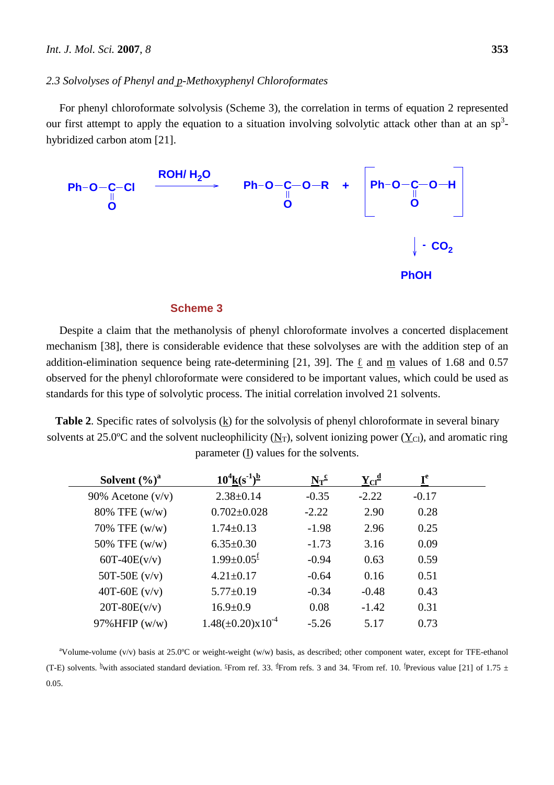#### *2.3 Solvolyses of Phenyl and p-Methoxyphenyl Chloroformates*

For phenyl chloroformate solvolysis (Scheme 3), the correlation in terms of equation 2 represented our first attempt to apply the equation to a situation involving solvolytic attack other than at an sp<sup>3</sup>hybridized carbon atom [21].



### **Scheme 3**

Despite a claim that the methanolysis of phenyl chloroformate involves a concerted displacement mechanism [38], there is considerable evidence that these solvolyses are with the addition step of an addition-elimination sequence being rate-determining [21, 39]. The  $\ell$  and m values of 1.68 and 0.57 observed for the phenyl chloroformate were considered to be important values, which could be used as standards for this type of solvolytic process. The initial correlation involved 21 solvents.

Table 2. Specific rates of solvolysis (k) for the solvolysis of phenyl chloroformate in several binary solvents at 25.0°C and the solvent nucleophilicity  $(N_T)$ , solvent ionizing power  $(Y_C)$ , and aromatic ring parameter (I) values for the solvents.

| Solvent $(\%)^a$    | $10^4$ k $(s^{-1})^{\underline{b}}$ | $N_T^c$ | $\mathbf{Y}_{\text{Cl}}^{\mathbf{d}}$ | ${\bf I}^{\rm e}$ |  |
|---------------------|-------------------------------------|---------|---------------------------------------|-------------------|--|
| 90% Acetone $(v/v)$ | $2.38 \pm 0.14$                     | $-0.35$ | $-2.22$                               | $-0.17$           |  |
| $80\%$ TFE (w/w)    | $0.702 \pm 0.028$                   | $-2.22$ | 2.90                                  | 0.28              |  |
| 70% TFE $(w/w)$     | $1.74 \pm 0.13$                     | $-1.98$ | 2.96                                  | 0.25              |  |
| 50% TFE (w/w)       | $6.35 \pm 0.30$                     | $-1.73$ | 3.16                                  | 0.09              |  |
| $60T-40E(v/v)$      | $1.99 \pm 0.05$ <sup>f</sup>        | $-0.94$ | 0.63                                  | 0.59              |  |
| 50T-50E $(v/v)$     | $4.21 \pm 0.17$                     | $-0.64$ | 0.16                                  | 0.51              |  |
| 40T-60E $(v/v)$     | $5.77 \pm 0.19$                     | $-0.34$ | $-0.48$                               | 0.43              |  |
| $20T-80E(v/v)$      | $16.9 \pm 0.9$                      | 0.08    | $-1.42$                               | 0.31              |  |
| $97\%$ HFIP (w/w)   | $1.48(\pm 0.20)\times 10^{-4}$      | $-5.26$ | 5.17                                  | 0.73              |  |

<sup>a</sup>Volume-volume (v/v) basis at 25.0°C or weight-weight (w/w) basis, as described; other component water, except for TFE-ethanol (T-E) solvents. <sup>b</sup>with associated standard deviation. <sup>e</sup>From ref. 33. <sup>d</sup>From refs. 3 and 34. <sup>e</sup>From ref. 10. <sup>f</sup>Previous value [21] of 1.75  $\pm$ 0.05.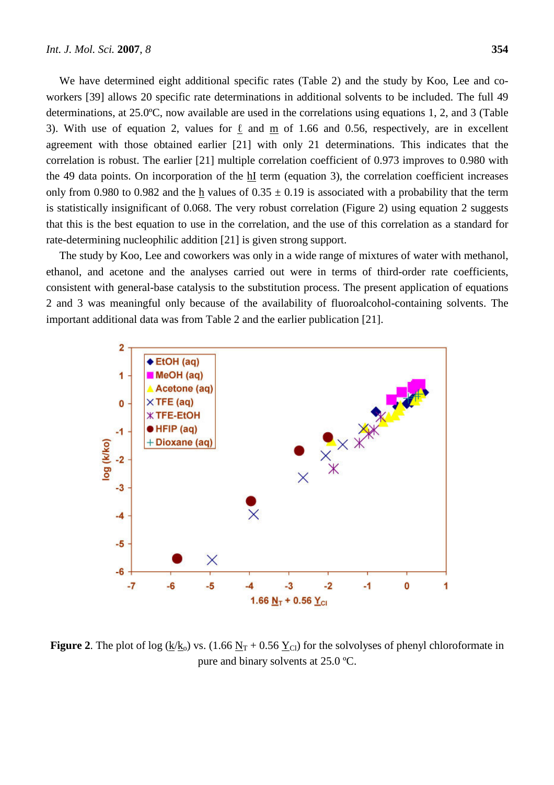We have determined eight additional specific rates (Table 2) and the study by Koo, Lee and coworkers [39] allows 20 specific rate determinations in additional solvents to be included. The full 49 determinations, at 25.0ºC, now available are used in the correlations using equations 1, 2, and 3 (Table 3). With use of equation 2, values for  $\ell$  and m of 1.66 and 0.56, respectively, are in excellent agreement with those obtained earlier [21] with only 21 determinations. This indicates that the correlation is robust. The earlier [21] multiple correlation coefficient of 0.973 improves to 0.980 with the 49 data points. On incorporation of the  $\frac{hI}{h}$  term (equation 3), the correlation coefficient increases only from 0.980 to 0.982 and the h values of  $0.35 \pm 0.19$  is associated with a probability that the term is statistically insignificant of 0.068. The very robust correlation (Figure 2) using equation 2 suggests that this is the best equation to use in the correlation, and the use of this correlation as a standard for rate-determining nucleophilic addition [21] is given strong support.

The study by Koo, Lee and coworkers was only in a wide range of mixtures of water with methanol, ethanol, and acetone and the analyses carried out were in terms of third-order rate coefficients, consistent with general-base catalysis to the substitution process. The present application of equations 2 and 3 was meaningful only because of the availability of fluoroalcohol-containing solvents. The important additional data was from Table 2 and the earlier publication [21].



**Figure 2.** The plot of log ( $k/k_0$ ) vs. (1.66  $N_T$  + 0.56  $Y_{\text{Cl}}$ ) for the solvolyses of phenyl chloroformate in pure and binary solvents at 25.0 ºC.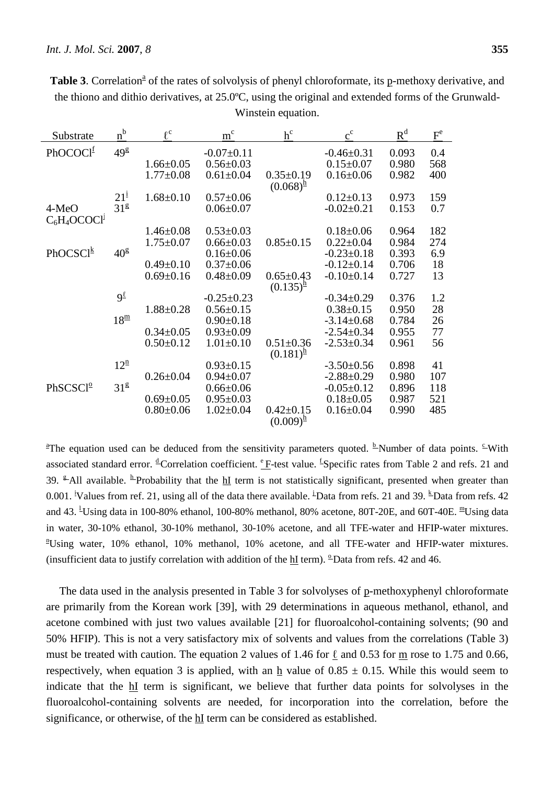| Substrate                  | $\underline{n}^b$    | $\ell^{\mathrm{c}}$ | $m^{c}$          | $\ensuremath{\mathop{\mathstrut\mathop{\mathstrut\mathop{\mathstrut\mathop{\mathop{\mathstrut\mathop{\mathstrut\mathop{\mathstrut\mathop{\mathstrut\mathop{\mathstrut\mathop{\mathstrut\mathop{\mathstrut\mathop{\mathstrut\mathop{\mathstrut\mathop{\mathstrut\mathop{\mathstrut\mathop{\mathstrut\mathop{\mathstrut\mathop{\mathstrut\mathop{\mathstrut\mathop{\mathstrut\mathop{\mathstrut\mathop{\mathstrut\mathop{\mathstrut\mathop{\mathstrut\mathop{\mathstrut\mathop{\mathstrut\mathop{\mathstrut\mathop{\mathstrut\mathop{\mathstrut\mathop{\mathstrut\mathop{\mathstrut\mathop{\$ | $c^{c}$          | $R^d$ | $F^e$ |
|----------------------------|----------------------|---------------------|------------------|---------------------------------------------------------------------------------------------------------------------------------------------------------------------------------------------------------------------------------------------------------------------------------------------------------------------------------------------------------------------------------------------------------------------------------------------------------------------------------------------------------------------------------------------------------------------------------------------|------------------|-------|-------|
| PhOCOClf                   | $49^{\text{g}}$      |                     | $-0.07+0.11$     |                                                                                                                                                                                                                                                                                                                                                                                                                                                                                                                                                                                             | $-0.46 \pm 0.31$ | 0.093 | 0.4   |
|                            |                      | $1.66 \pm 0.05$     | $0.56 \pm 0.03$  |                                                                                                                                                                                                                                                                                                                                                                                                                                                                                                                                                                                             | $0.15 \pm 0.07$  | 0.980 | 568   |
|                            |                      | $1.77 \pm 0.08$     | $0.61 \pm 0.04$  | $0.35 \pm 0.19$<br>$(0.068)^{\frac{h}{2}}$                                                                                                                                                                                                                                                                                                                                                                                                                                                                                                                                                  | $0.16 \pm 0.06$  | 0.982 | 400   |
|                            | $21^{\frac{1}{2}}$   | $1.68 \pm 0.10$     | $0.57 \pm 0.06$  |                                                                                                                                                                                                                                                                                                                                                                                                                                                                                                                                                                                             | $0.12 \pm 0.13$  | 0.973 | 159   |
| 4-MeO<br>$C_6H_4OCOCl1$    | 31 <sup>g</sup>      |                     | $0.06 \pm 0.07$  |                                                                                                                                                                                                                                                                                                                                                                                                                                                                                                                                                                                             | $-0.02 \pm 0.21$ | 0.153 | 0.7   |
|                            |                      | $1.46 \pm 0.08$     | $0.53 \pm 0.03$  |                                                                                                                                                                                                                                                                                                                                                                                                                                                                                                                                                                                             | $0.18 \pm 0.06$  | 0.964 | 182   |
|                            |                      | $1.75 \pm 0.07$     | $0.66 \pm 0.03$  | $0.85 \pm 0.15$                                                                                                                                                                                                                                                                                                                                                                                                                                                                                                                                                                             | $0.22 \pm 0.04$  | 0.984 | 274   |
| PhOCSCl $^{\underline{k}}$ | $40^{\text{g}}$      |                     | $0.16 \pm 0.06$  |                                                                                                                                                                                                                                                                                                                                                                                                                                                                                                                                                                                             | $-0.23 \pm 0.18$ | 0.393 | 6.9   |
|                            |                      | $0.49 \pm 0.10$     | $0.37 \pm 0.06$  |                                                                                                                                                                                                                                                                                                                                                                                                                                                                                                                                                                                             | $-0.12 \pm 0.14$ | 0.706 | 18    |
|                            |                      | $0.69 \pm 0.16$     | $0.48 \pm 0.09$  | $0.65 \pm 0.43$<br>$(0.135)^{\frac{h}{2}}$                                                                                                                                                                                                                                                                                                                                                                                                                                                                                                                                                  | $-0.10+0.14$     | 0.727 | 13    |
|                            | $9^{\ell}$           |                     | $-0.25 \pm 0.23$ |                                                                                                                                                                                                                                                                                                                                                                                                                                                                                                                                                                                             | $-0.34\pm0.29$   | 0.376 | 1.2   |
|                            |                      | $1.88 \pm 0.28$     | $0.56 \pm 0.15$  |                                                                                                                                                                                                                                                                                                                                                                                                                                                                                                                                                                                             | $0.38 \pm 0.15$  | 0.950 | 28    |
|                            | $18^{\underline{m}}$ |                     | $0.90 \pm 0.18$  |                                                                                                                                                                                                                                                                                                                                                                                                                                                                                                                                                                                             | $-3.14 \pm 0.68$ | 0.784 | 26    |
|                            |                      | $0.34 \pm 0.05$     | $0.93 \pm 0.09$  |                                                                                                                                                                                                                                                                                                                                                                                                                                                                                                                                                                                             | $-2.54 \pm 0.34$ | 0.955 | 77    |
|                            |                      | $0.50 \pm 0.12$     | $1.01 \pm 0.10$  | $0.51 \pm 0.36$<br>$(0.181)^{\frac{h}{2}}$                                                                                                                                                                                                                                                                                                                                                                                                                                                                                                                                                  | $-2.53 \pm 0.34$ | 0.961 | 56    |
|                            | $12^{\underline{n}}$ |                     | $0.93 \pm 0.15$  |                                                                                                                                                                                                                                                                                                                                                                                                                                                                                                                                                                                             | $-3.50+0.56$     | 0.898 | 41    |
|                            |                      | $0.26 \pm 0.04$     | $0.94 \pm 0.07$  |                                                                                                                                                                                                                                                                                                                                                                                                                                                                                                                                                                                             | $-2.88 \pm 0.29$ | 0.980 | 107   |
| PhSCSCl <sup>o</sup>       | 31 <sup>g</sup>      |                     | $0.66 \pm 0.06$  |                                                                                                                                                                                                                                                                                                                                                                                                                                                                                                                                                                                             | $-0.05 \pm 0.12$ | 0.896 | 118   |
|                            |                      | $0.69 \pm 0.05$     | $0.95 \pm 0.03$  |                                                                                                                                                                                                                                                                                                                                                                                                                                                                                                                                                                                             | $0.18 \pm 0.05$  | 0.987 | 521   |
|                            |                      | $0.80 \pm 0.06$     | $1.02 \pm 0.04$  | $0.42 \pm 0.15$<br>$(0.009)^{\frac{h}{2}}$                                                                                                                                                                                                                                                                                                                                                                                                                                                                                                                                                  | $0.16 \pm 0.04$  | 0.990 | 485   |

Table 3. Correlation<sup>a</sup> of the rates of solvolysis of phenyl chloroformate, its p-methoxy derivative, and the thiono and dithio derivatives, at 25.0ºC, using the original and extended forms of the Grunwald-Winstein equation.

<sup>a</sup>The equation used can be deduced from the sensitivity parameters quoted. <sup>b</sup>Number of data points. <sup>c</sup>With associated standard error. <sup>d</sup>Correlation coefficient. <sup>e</sup>F-test value. <sup>f</sup>Specific rates from Table 2 and refs. 21 and 39.  $\frac{\epsilon}{2}$ All available. <sup>h</sup>Probability that the hI term is not statistically significant, presented when greater than 0.001. <sup>i</sup>Values from ref. 21, using all of the data there available. <sup>i</sup>Data from refs. 21 and 39. <sup>k</sup>Data from refs. 42 and 43. <sup>1</sup>Using data in 100-80% ethanol, 100-80% methanol, 80% acetone, 80T-20E, and 60T-40E. <sup>m</sup>Using data in water, 30-10% ethanol, 30-10% methanol, 30-10% acetone, and all TFE-water and HFIP-water mixtures. <sup>n</sup>Using water, 10% ethanol, 10% methanol, 10% acetone, and all TFE-water and HFIP-water mixtures. (insufficient data to justify correlation with addition of the hI term).  $^{9}$ Data from refs. 42 and 46.

The data used in the analysis presented in Table 3 for solvolyses of p-methoxyphenyl chloroformate are primarily from the Korean work [39], with 29 determinations in aqueous methanol, ethanol, and acetone combined with just two values available [21] for fluoroalcohol-containing solvents; (90 and 50% HFIP). This is not a very satisfactory mix of solvents and values from the correlations (Table 3) must be treated with caution. The equation 2 values of 1.46 for  $\underline{\ell}$  and 0.53 for  $\underline{m}$  rose to 1.75 and 0.66, respectively, when equation 3 is applied, with an h value of  $0.85 \pm 0.15$ . While this would seem to indicate that the hI term is significant, we believe that further data points for solvolyses in the fluoroalcohol-containing solvents are needed, for incorporation into the correlation, before the significance, or otherwise, of the **hI** term can be considered as established.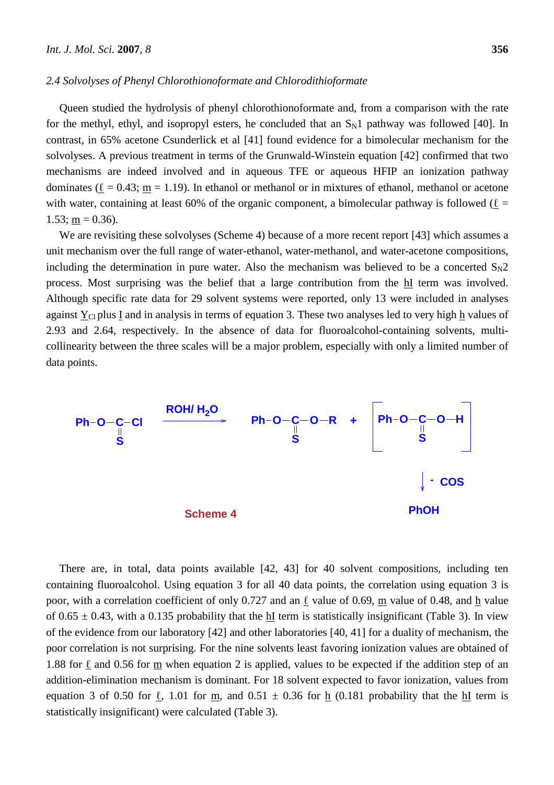#### *2.4 Solvolyses of Phenyl Chlorothionoformate and Chlorodithioformate*

Queen studied the hydrolysis of phenyl chlorothionoformate and, from a comparison with the rate for the methyl, ethyl, and isopropyl esters, he concluded that an  $S_N1$  pathway was followed [40]. In contrast, in 65% acetone Csunderlick et al [41] found evidence for a bimolecular mechanism for the solvolyses. A previous treatment in terms of the Grunwald-Winstein equation [42] confirmed that two mechanisms are indeed involved and in aqueous TFE or aqueous HFIP an ionization pathway dominates ( $\underline{\ell} = 0.43$ ; <u>m</u> = 1.19). In ethanol or methanol or in mixtures of ethanol, methanol or acetone with water, containing at least 60% of the organic component, a bimolecular pathway is followed ( $\ell =$  $1.53$ ; m = 0.36).

We are revisiting these solvolyses (Scheme 4) because of a more recent report [43] which assumes a unit mechanism over the full range of water-ethanol, water-methanol, and water-acetone compositions, including the determination in pure water. Also the mechanism was believed to be a concerted  $S_N 2$ process. Most surprising was the belief that a large contribution from the hI term was involved. Although specific rate data for 29 solvent systems were reported, only 13 were included in analyses against  $Y_{Cl}$  plus I and in analysis in terms of equation 3. These two analyses led to very high  $h$  values of 2.93 and 2.64, respectively. In the absence of data for fluoroalcohol-containing solvents, multicollinearity between the three scales will be a major problem, especially with only a limited number of data points.



There are, in total, data points available [42, 43] for 40 solvent compositions, including ten containing fluoroalcohol. Using equation 3 for all 40 data points, the correlation using equation 3 is poor, with a correlation coefficient of only 0.727 and an  $\ell$  value of 0.69, m value of 0.48, and h value of  $0.65 \pm 0.43$ , with a 0.135 probability that the hI term is statistically insignificant (Table 3). In view of the evidence from our laboratory [42] and other laboratories [40, 41] for a duality of mechanism, the poor correlation is not surprising. For the nine solvents least favoring ionization values are obtained of 1.88 for  $\ell$  and 0.56 for m when equation 2 is applied, values to be expected if the addition step of an addition-elimination mechanism is dominant. For 18 solvent expected to favor ionization, values from equation 3 of 0.50 for  $\ell$ , 1.01 for m, and 0.51  $\pm$  0.36 for h (0.181 probability that the hI term is statistically insignificant) were calculated (Table 3).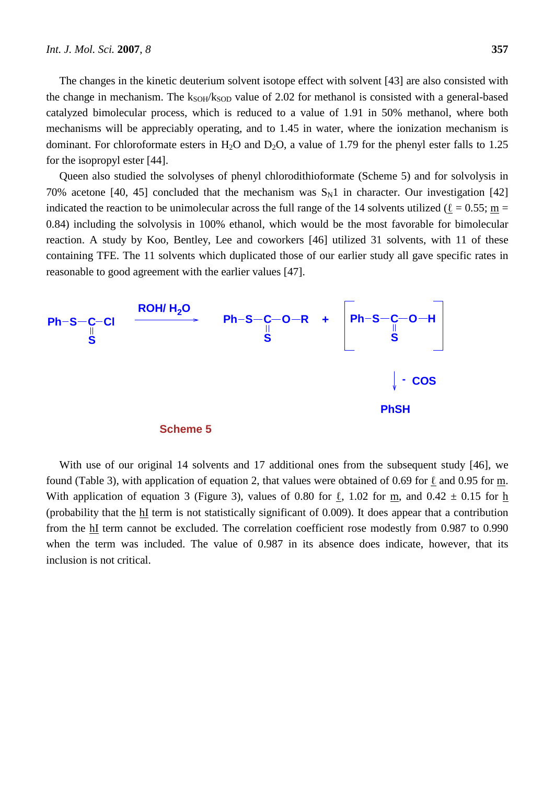The changes in the kinetic deuterium solvent isotope effect with solvent [43] are also consisted with the change in mechanism. The  $k_{SOH}/k_{SOD}$  value of 2.02 for methanol is consisted with a general-based catalyzed bimolecular process, which is reduced to a value of 1.91 in 50% methanol, where both mechanisms will be appreciably operating, and to 1.45 in water, where the ionization mechanism is dominant. For chloroformate esters in H<sub>2</sub>O and D<sub>2</sub>O, a value of 1.79 for the phenyl ester falls to 1.25 for the isopropyl ester [44].

Queen also studied the solvolyses of phenyl chlorodithioformate (Scheme 5) and for solvolysis in 70% acetone [40, 45] concluded that the mechanism was  $S_N1$  in character. Our investigation [42] indicated the reaction to be unimolecular across the full range of the 14 solvents utilized ( $\ell = 0.55$ ; m = 0.84) including the solvolysis in 100% ethanol, which would be the most favorable for bimolecular reaction. A study by Koo, Bentley, Lee and coworkers [46] utilized 31 solvents, with 11 of these containing TFE. The 11 solvents which duplicated those of our earlier study all gave specific rates in reasonable to good agreement with the earlier values [47].



With use of our original 14 solvents and 17 additional ones from the subsequent study [46], we found (Table 3), with application of equation 2, that values were obtained of 0.69 for  $\ell$  and 0.95 for m. With application of equation 3 (Figure 3), values of 0.80 for  $\ell$ , 1.02 for m, and 0.42  $\pm$  0.15 for h (probability that the hI term is not statistically significant of 0.009). It does appear that a contribution from the **hI** term cannot be excluded. The correlation coefficient rose modestly from 0.987 to 0.990 when the term was included. The value of 0.987 in its absence does indicate, however, that its inclusion is not critical.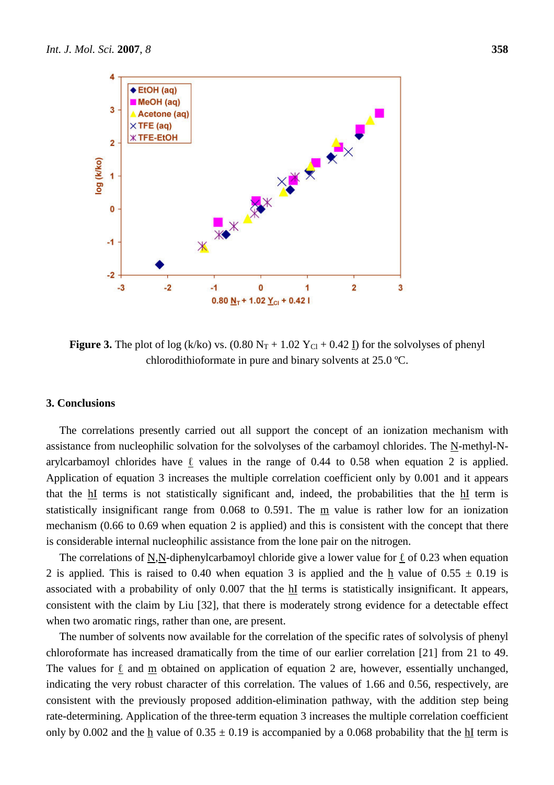

**Figure 3.** The plot of log (k/ko) vs.  $(0.80 \text{ N}_T + 1.02 \text{ Y}_{C1} + 0.42 \text{ I})$  for the solvolyses of phenyl chlorodithioformate in pure and binary solvents at 25.0 ºC.

## **3. Conclusions**

The correlations presently carried out all support the concept of an ionization mechanism with assistance from nucleophilic solvation for the solvolyses of the carbamoyl chlorides. The N-methyl-Narylcarbamoyl chlorides have  $\ell$  values in the range of 0.44 to 0.58 when equation 2 is applied. Application of equation 3 increases the multiple correlation coefficient only by 0.001 and it appears that the hI terms is not statistically significant and, indeed, the probabilities that the hI term is statistically insignificant range from 0.068 to 0.591. The m value is rather low for an ionization mechanism (0.66 to 0.69 when equation 2 is applied) and this is consistent with the concept that there is considerable internal nucleophilic assistance from the lone pair on the nitrogen.

The correlations of N,N-diphenylcarbamoyl chloride give a lower value for  $\ell$  of 0.23 when equation 2 is applied. This is raised to 0.40 when equation 3 is applied and the  $h$  value of 0.55  $\pm$  0.19 is associated with a probability of only 0.007 that the hI terms is statistically insignificant. It appears, consistent with the claim by Liu [32], that there is moderately strong evidence for a detectable effect when two aromatic rings, rather than one, are present.

The number of solvents now available for the correlation of the specific rates of solvolysis of phenyl chloroformate has increased dramatically from the time of our earlier correlation [21] from 21 to 49. The values for  $\ell$  and m obtained on application of equation 2 are, however, essentially unchanged, indicating the very robust character of this correlation. The values of 1.66 and 0.56, respectively, are consistent with the previously proposed addition-elimination pathway, with the addition step being rate-determining. Application of the three-term equation 3 increases the multiple correlation coefficient only by 0.002 and the h value of  $0.35 \pm 0.19$  is accompanied by a 0.068 probability that the hI term is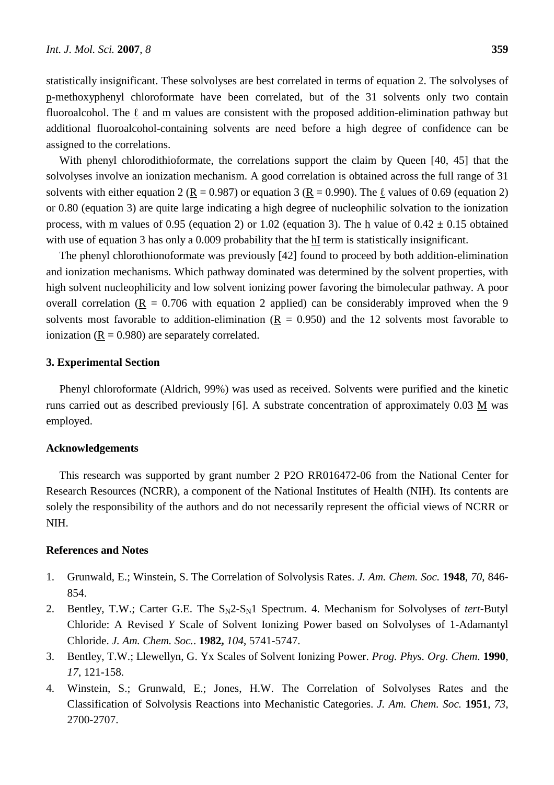statistically insignificant. These solvolyses are best correlated in terms of equation 2. The solvolyses of p-methoxyphenyl chloroformate have been correlated, but of the 31 solvents only two contain fluoroalcohol. The  $\ell$  and m values are consistent with the proposed addition-elimination pathway but additional fluoroalcohol-containing solvents are need before a high degree of confidence can be assigned to the correlations.

With phenyl chlorodithioformate, the correlations support the claim by Queen [40, 45] that the solvolyses involve an ionization mechanism. A good correlation is obtained across the full range of 31 solvents with either equation 2 (R = 0.987) or equation 3 (R = 0.990). The  $\ell$  values of 0.69 (equation 2) or 0.80 (equation 3) are quite large indicating a high degree of nucleophilic solvation to the ionization process, with m values of 0.95 (equation 2) or 1.02 (equation 3). The h value of  $0.42 \pm 0.15$  obtained with use of equation 3 has only a 0.009 probability that the hI term is statistically insignificant.

The phenyl chlorothionoformate was previously [42] found to proceed by both addition-elimination and ionization mechanisms. Which pathway dominated was determined by the solvent properties, with high solvent nucleophilicity and low solvent ionizing power favoring the bimolecular pathway. A poor overall correlation ( $R = 0.706$  with equation 2 applied) can be considerably improved when the 9 solvents most favorable to addition-elimination  $(R = 0.950)$  and the 12 solvents most favorable to ionization  $(R = 0.980)$  are separately correlated.

## **3. Experimental Section**

Phenyl chloroformate (Aldrich, 99%) was used as received. Solvents were purified and the kinetic runs carried out as described previously [6]. A substrate concentration of approximately 0.03 M was employed.

#### **Acknowledgements**

This research was supported by grant number 2 P2O RR016472-06 from the National Center for Research Resources (NCRR), a component of the National Institutes of Health (NIH). Its contents are solely the responsibility of the authors and do not necessarily represent the official views of NCRR or NIH.

## **References and Notes**

- 1. Grunwald, E.; Winstein, S. The Correlation of Solvolysis Rates. *J. Am. Chem. Soc.* **1948**, *70*, 846- 854.
- 2. Bentley, T.W.; Carter G.E. The  $S_N2-S_N1$  Spectrum. 4. Mechanism for Solvolyses of *tert*-Butyl Chloride: A Revised *Y* Scale of Solvent Ionizing Power based on Solvolyses of 1-Adamantyl Chloride. *J. Am. Chem. Soc.*. **1982,** *104*, 5741-5747.
- 3. Bentley, T.W.; Llewellyn, G. Yx Scales of Solvent Ionizing Power. *Prog. Phys. Org. Chem*. **1990**, *17*, 121-158.
- 4. Winstein, S.; Grunwald, E.; Jones, H.W. The Correlation of Solvolyses Rates and the Classification of Solvolysis Reactions into Mechanistic Categories. *J. Am. Chem. Soc.* **1951**, *73*, 2700-2707.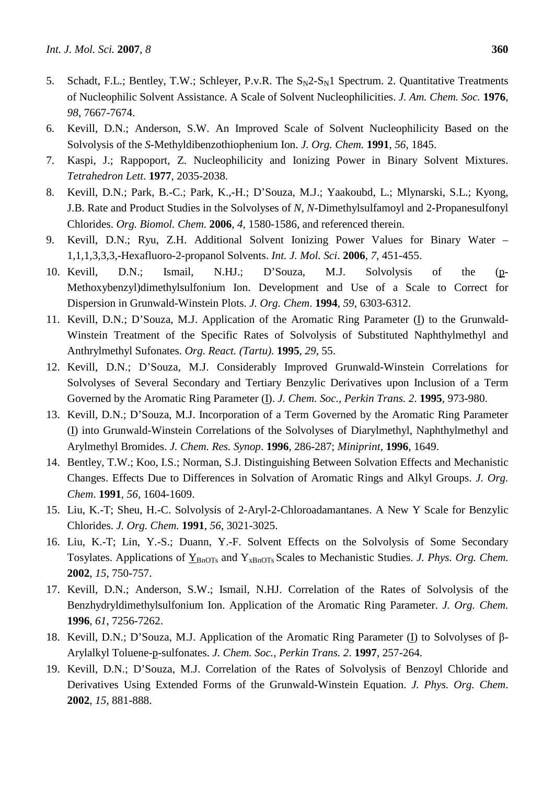- 5. Schadt, F.L.; Bentley, T.W.; Schleyer, P.v.R. The  $S_N2-S_N1$  Spectrum. 2. Quantitative Treatments of Nucleophilic Solvent Assistance. A Scale of Solvent Nucleophilicities. *J. Am. Chem. Soc.* **1976**, *98*, 7667-7674.
- 6. Kevill, D.N.; Anderson, S.W. An Improved Scale of Solvent Nucleophilicity Based on the Solvolysis of the *S*-Methyldibenzothiophenium Ion. *J. Org. Chem.* **1991**, *56*, 1845.
- 7. Kaspi, J.; Rappoport, Z. Nucleophilicity and Ionizing Power in Binary Solvent Mixtures. *Tetrahedron Lett*. **1977**, 2035-2038.
- 8. Kevill, D.N.; Park, B.-C.; Park, K.,-H.; D'Souza, M.J.; Yaakoubd, L.; Mlynarski, S.L.; Kyong, J.B. Rate and Product Studies in the Solvolyses of *N, N*-Dimethylsulfamoyl and 2-Propanesulfonyl Chlorides. *Org. Biomol. Chem*. **2006**, *4*, 1580-1586, and referenced therein.
- 9. Kevill, D.N.; Ryu, Z.H. Additional Solvent Ionizing Power Values for Binary Water 1,1,1,3,3,3,-Hexafluoro-2-propanol Solvents. *Int. J. Mol. Sci*. **2006**, *7*, 451-455.
- 10. Kevill, D.N.; Ismail, N.HJ.; D'Souza, M.J. Solvolysis of the (p-Methoxybenzyl)dimethylsulfonium Ion. Development and Use of a Scale to Correct for Dispersion in Grunwald-Winstein Plots. *J. Org. Chem*. **1994**, *59*, 6303-6312.
- 11. Kevill, D.N.; D'Souza, M.J. Application of the Aromatic Ring Parameter (I) to the Grunwald-Winstein Treatment of the Specific Rates of Solvolysis of Substituted Naphthylmethyl and Anthrylmethyl Sufonates. *Org. React. (Tartu).* **1995**, *29*, 55.
- 12. Kevill, D.N.; D'Souza, M.J. Considerably Improved Grunwald-Winstein Correlations for Solvolyses of Several Secondary and Tertiary Benzylic Derivatives upon Inclusion of a Term Governed by the Aromatic Ring Parameter (I). *J. Chem. Soc., Perkin Trans. 2*. **1995**, 973-980.
- 13. Kevill, D.N.; D'Souza, M.J. Incorporation of a Term Governed by the Aromatic Ring Parameter (I) into Grunwald-Winstein Correlations of the Solvolyses of Diarylmethyl, Naphthylmethyl and Arylmethyl Bromides. *J. Chem. Res. Synop*. **1996**, 286-287; *Miniprint*, **1996**, 1649.
- 14. Bentley, T.W.; Koo, I.S.; Norman, S.J. Distinguishing Between Solvation Effects and Mechanistic Changes. Effects Due to Differences in Solvation of Aromatic Rings and Alkyl Groups. *J. Org. Chem*. **1991**, *56*, 1604-1609.
- 15. Liu, K.-T; Sheu, H.-C. Solvolysis of 2-Aryl-2-Chloroadamantanes. A New Y Scale for Benzylic Chlorides. *J. Org. Chem.* **1991**, *56*, 3021-3025.
- 16. Liu, K.-T; Lin, Y.-S.; Duann, Y.-F. Solvent Effects on the Solvolysis of Some Secondary Tosylates. Applications of  $Y_{\text{BnOTs}}$  and  $Y_{\text{xBnOTs}}$  Scales to Mechanistic Studies. *J. Phys. Org. Chem.* **2002**, *15*, 750-757.
- 17. Kevill, D.N.; Anderson, S.W.; Ismail, N.HJ. Correlation of the Rates of Solvolysis of the Benzhydryldimethylsulfonium Ion. Application of the Aromatic Ring Parameter. *J. Org. Chem.* **1996**, *61*, 7256-7262.
- 18. Kevill, D.N.; D'Souza, M.J. Application of the Aromatic Ring Parameter (I) to Solvolyses of β-Arylalkyl Toluene-p-sulfonates. *J. Chem. Soc., Perkin Trans. 2*. **1997**, 257-264.
- 19. Kevill, D.N.; D'Souza, M.J. Correlation of the Rates of Solvolysis of Benzoyl Chloride and Derivatives Using Extended Forms of the Grunwald-Winstein Equation. *J. Phys. Org. Chem*. **2002**, *15*, 881-888.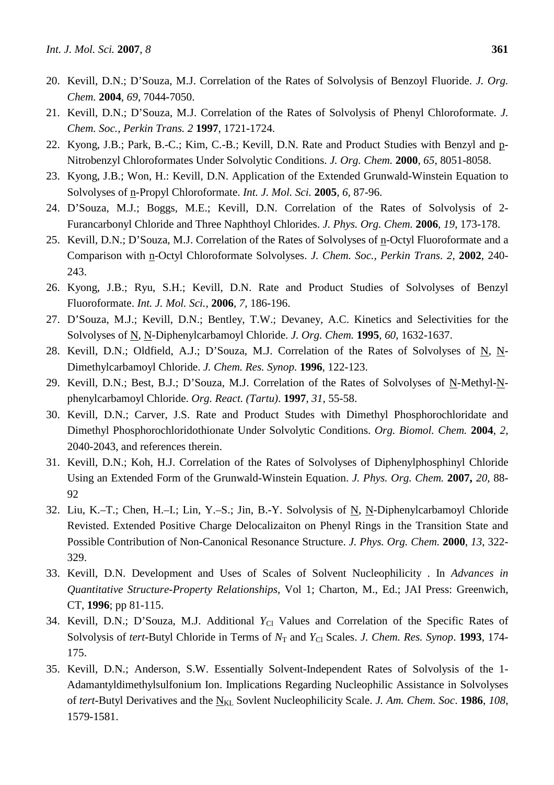- 20. Kevill, D.N.; D'Souza, M.J. Correlation of the Rates of Solvolysis of Benzoyl Fluoride. *J. Org. Chem.* **2004**, *69*, 7044-7050.
- 21. Kevill, D.N.; D'Souza, M.J. Correlation of the Rates of Solvolysis of Phenyl Chloroformate. *J. Chem. Soc., Perkin Trans. 2* **1997**, 1721-1724.
- 22. Kyong, J.B.; Park, B.-C.; Kim, C.-B.; Kevill, D.N. Rate and Product Studies with Benzyl and p-Nitrobenzyl Chloroformates Under Solvolytic Conditions. *J. Org. Chem.* **2000**, *65*, 8051-8058.
- 23. Kyong, J.B.; Won, H.: Kevill, D.N. Application of the Extended Grunwald-Winstein Equation to Solvolyses of n-Propyl Chloroformate. *Int. J. Mol. Sci.* **2005**, *6,* 87-96.
- 24. D'Souza, M.J.; Boggs, M.E.; Kevill, D.N. Correlation of the Rates of Solvolysis of 2- Furancarbonyl Chloride and Three Naphthoyl Chlorides. *J. Phys. Org. Chem.* **2006**, *19*, 173-178.
- 25. Kevill, D.N.; D'Souza, M.J. Correlation of the Rates of Solvolyses of n-Octyl Fluoroformate and a Comparison with n-Octyl Chloroformate Solvolyses. *J. Chem. Soc., Perkin Trans. 2*, **2002**, 240- 243.
- 26. Kyong, J.B.; Ryu, S.H.; Kevill, D.N. Rate and Product Studies of Solvolyses of Benzyl Fluoroformate. *Int. J. Mol. Sci.*, **2006**, *7*, 186-196.
- 27. D'Souza, M.J.; Kevill, D.N.; Bentley, T.W.; Devaney, A.C. Kinetics and Selectivities for the Solvolyses of N, N-Diphenylcarbamoyl Chloride. *J. Org. Chem.* **1995**, *60*, 1632-1637.
- 28. Kevill, D.N.; Oldfield, A.J.; D'Souza, M.J. Correlation of the Rates of Solvolyses of N, N-Dimethylcarbamoyl Chloride. *J. Chem. Res. Synop.* **1996**, 122-123.
- 29. Kevill, D.N.; Best, B.J.; D'Souza, M.J. Correlation of the Rates of Solvolyses of N-Methyl-Nphenylcarbamoyl Chloride. *Org. React. (Tartu)*. **1997**, *31*, 55-58.
- 30. Kevill, D.N.; Carver, J.S. Rate and Product Studes with Dimethyl Phosphorochloridate and Dimethyl Phosphorochloridothionate Under Solvolytic Conditions. *Org. Biomol. Chem.* **2004**, *2*, 2040-2043, and references therein.
- 31. Kevill, D.N.; Koh, H.J. Correlation of the Rates of Solvolyses of Diphenylphosphinyl Chloride Using an Extended Form of the Grunwald-Winstein Equation. *J. Phys. Org. Chem.* **2007,** *20,* 88- 92
- 32. Liu, K.–T.; Chen, H.–I.; Lin, Y.–S.; Jin, B.-Y. Solvolysis of N, N-Diphenylcarbamoyl Chloride Revisted. Extended Positive Charge Delocalizaiton on Phenyl Rings in the Transition State and Possible Contribution of Non-Canonical Resonance Structure. *J. Phys. Org. Chem.* **2000**, *13*, 322- 329.
- 33. Kevill, D.N. Development and Uses of Scales of Solvent Nucleophilicity . In *Advances in Quantitative Structure-Property Relationships*, Vol 1; Charton, M., Ed.; JAI Press: Greenwich, CT, **1996**; pp 81-115.
- 34. Kevill, D.N.; D'Souza, M.J. Additional *Y*<sub>Cl</sub> Values and Correlation of the Specific Rates of Solvolysis of *tert*-Butyl Chloride in Terms of  $N<sub>T</sub>$  and  $Y<sub>Cl</sub>$  Scales. *J. Chem. Res. Synop.* **1993**, 174-175.
- 35. Kevill, D.N.; Anderson, S.W. Essentially Solvent-Independent Rates of Solvolysis of the 1- Adamantyldimethylsulfonium Ion. Implications Regarding Nucleophilic Assistance in Solvolyses of *tert*-Butyl Derivatives and the N<sub>KL</sub> Sovlent Nucleophilicity Scale. *J. Am. Chem. Soc.* 1986, 108, 1579-1581.